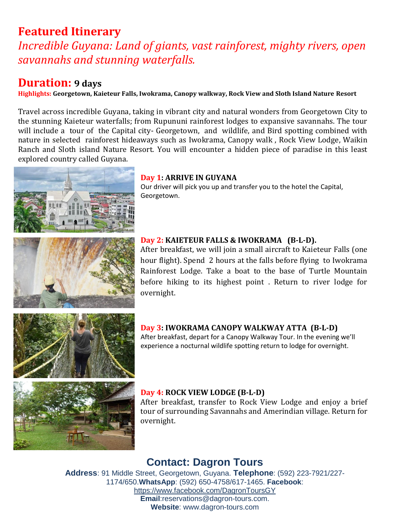# **Featured Itinerary**

*Incredible Guyana: Land of giants, vast rainforest, mighty rivers, open savannahs and stunning waterfalls.*

# **Duration: 9 days**

**Highlights: Georgetown, Kaieteur Falls, Iwokrama, Canopy walkway, Rock View and Sloth Island Nature Resort**

Travel across incredible Guyana, taking in vibrant city and natural wonders from Georgetown City to the stunning Kaieteur waterfalls; from Rupununi rainforest lodges to expansive savannahs. The tour will include a tour of the Capital city- Georgetown, and wildlife, and Bird spotting combined with nature in selected rainforest hideaways such as Iwokrama, Canopy walk , Rock View Lodge, Waikin Ranch and Sloth island Nature Resort. You will encounter a hidden piece of paradise in this least explored country called Guyana.





### **Day 1: ARRIVE IN GUYANA**

Our driver will pick you up and transfer you to the hotel the Capital, Georgetown.

### **Day 2: KAIETEUR FALLS & IWOKRAMA (B-L-D).**

After breakfast, we will join a small aircraft to Kaieteur Falls (one hour flight). Spend 2 hours at the falls before flying to Iwokrama Rainforest Lodge. Take a boat to the base of Turtle Mountain before hiking to its highest point . Return to river lodge for overnight.



### **Day 3: IWOKRAMA CANOPY WALKWAY ATTA (B-L-D)**

After breakfast, depart for a Canopy Walkway Tour. In the evening we'll experience a nocturnal wildlife spotting return to lodge for overnight.

After breakfast, transfer to Rock View Lodge and enjoy a brief

### tour of surrounding Savannahs and Amerindian village. Return for overnight.

**Day 4: ROCK VIEW LODGE (B-L-D)**

# **Contact: Dagron Tours**

**Address**: 91 Middle Street, Georgetown, Guyana. **Telephone**: (592) 223-7921/227- 1174/650.**WhatsApp**: (592) 650-4758/617-1465. **Facebook**: https://www.facebook.com/DagronToursGY **Email**:reservations@dagron-tours.com. **Website**: www.dagron-tours.com